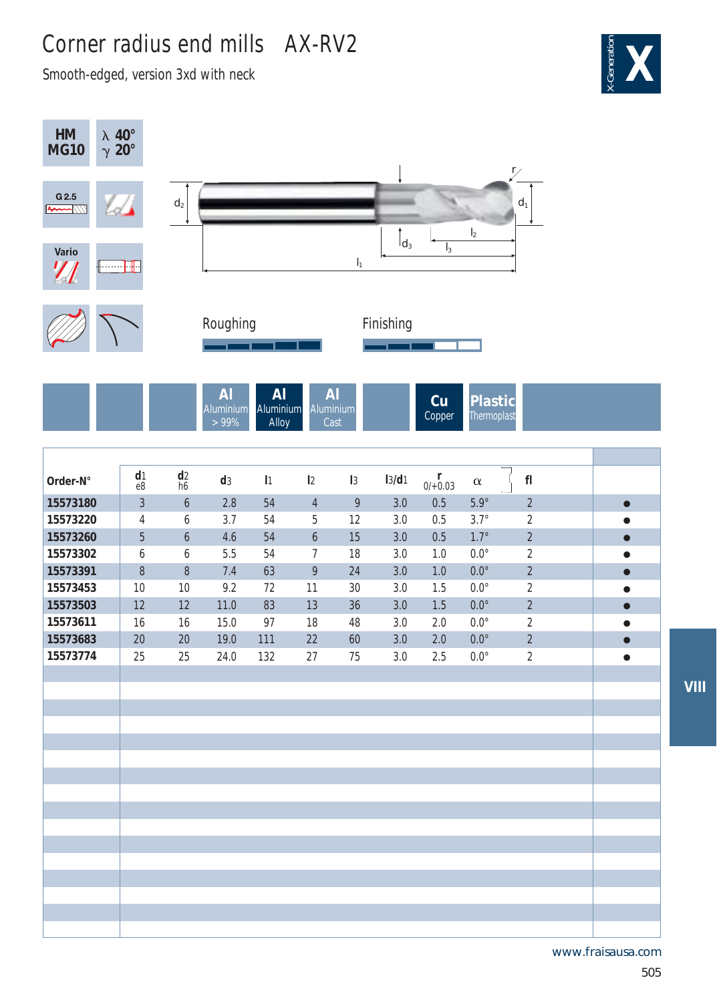## Corner radius end mills AX-RV2

Smooth-edged, version 3xd with neck





www.fraisausa.com

**VIII**